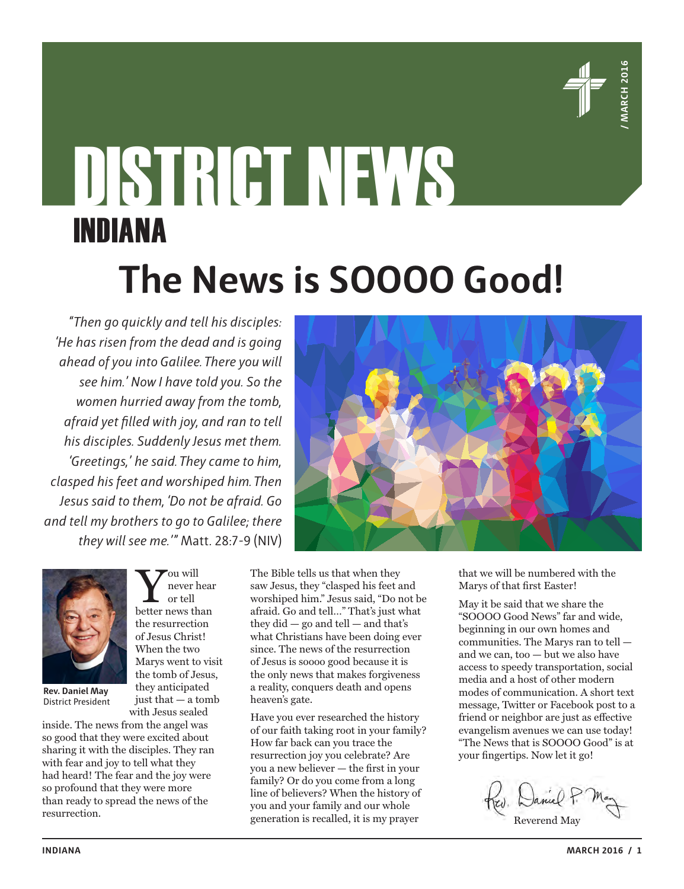

# DISTRICT NEWS INDIANA **The News is SOOOO Good!**

*"Then go quickly and tell his disciples: 'He has risen from the dead and is going ahead of you into Galilee. There you will see him.' Now I have told you. So the women hurried away from the tomb, afraid yet filled with joy, and ran to tell his disciples. Suddenly Jesus met them. 'Greetings,' he said. They came to him, clasped his feet and worshiped him. Then Jesus said to them, 'Do not be afraid. Go and tell my brothers to go to Galilee; there they will see me.'"* Matt. 28:7-9 (NIV)



**Rev. Daniel May** District President

inside. The news from the angel was so good that they were excited about sharing it with the disciples. They ran with fear and joy to tell what they had heard! The fear and the joy were so profound that they were more than ready to spread the news of the resurrection.

 $\sum_{\mathrm{or\; tell}}^{\mathrm{ou\; will}}$  hever hear never hear or tell the resurrection of Jesus Christ! When the two Marys went to visit the tomb of Jesus, they anticipated just that — a tomb with Jesus sealed

The Bible tells us that when they saw Jesus, they "clasped his feet and worshiped him." Jesus said, "Do not be afraid. Go and tell…" That's just what they did  $-$  go and tell  $-$  and that's what Christians have been doing ever since. The news of the resurrection of Jesus is soooo good because it is the only news that makes forgiveness a reality, conquers death and opens heaven's gate.

Have you ever researched the history of our faith taking root in your family? How far back can you trace the resurrection joy you celebrate? Are you a new believer — the first in your family? Or do you come from a long line of believers? When the history of you and your family and our whole generation is recalled, it is my prayer



that we will be numbered with the Marys of that first Easter!

May it be said that we share the "SOOOO Good News" far and wide, beginning in our own homes and communities. The Marys ran to tell and we can, too — but we also have access to speedy transportation, social media and a host of other modern modes of communication. A short text message, Twitter or Facebook post to a friend or neighbor are just as effective evangelism avenues we can use today! "The News that is SOOOO Good" is at your fingertips. Now let it go!

Reverend May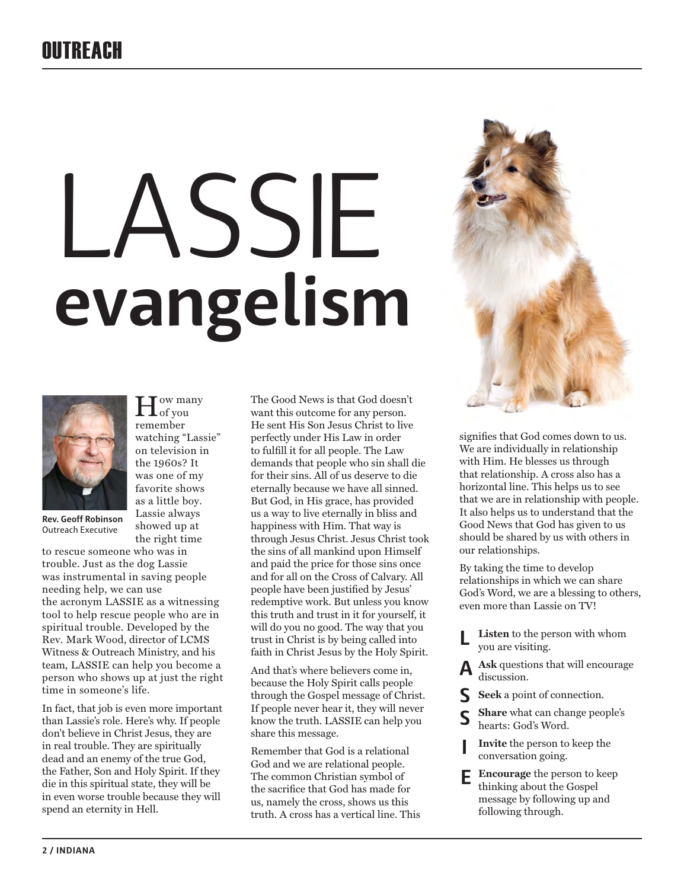# **OUTREACH**

# SSIE **evangelism**



**Rev. Geoff Robinson** Outreach Executive

to rescue someone who was in trouble. Just as the dog Lassie was instrumental in saving people needing help, we can use the acronym LASSIE as a witnessing tool to help rescue people who are in spiritual trouble. Developed by the Rev. Mark Wood, director of LCMS Witness & Outreach Ministry, and his team, LASSIE can help you become a person who shows up at just the right time in someone's life.

 $\prod_{\text{of you}}^{\text{ow many}}$ remember watching "Lassie" on television in the 1960s? It was one of my favorite shows as a little boy. Lassie always showed up at the right time

In fact, that job is even more important than Lassie's role. Here's why. If people don't believe in Christ Jesus, they are in real trouble. They are spiritually dead and an enemy of the true God, the Father, Son and Holy Spirit. If they die in this spiritual state, they will be in even worse trouble because they will spend an eternity in Hell.

The Good News is that God doesn't want this outcome for any person. He sent His Son Jesus Christ to live perfectly under His Law in order to fulfill it for all people. The Law demands that people who sin shall die for their sins. All of us deserve to die eternally because we have all sinned. But God, in His grace, has provided us a way to live eternally in bliss and happiness with Him. That way is through Jesus Christ. Jesus Christ took the sins of all mankind upon Himself and paid the price for those sins once and for all on the Cross of Calvary. All people have been justified by Jesus' redemptive work. But unless you know this truth and trust in it for yourself, it will do you no good. The way that you trust in Christ is by being called into faith in Christ Jesus by the Holy Spirit.

And that's where believers come in, because the Holy Spirit calls people through the Gospel message of Christ. If people never hear it, they will never know the truth. LASSIE can help you share this message.

Remember that God is a relational God and we are relational people. The common Christian symbol of the sacrifice that God has made for us, namely the cross, shows us this truth. A cross has a vertical line. This



signifies that God comes down to us. We are individually in relationship with Him. He blesses us through that relationship. A cross also has a horizontal line. This helps us to see that we are in relationship with people. It also helps us to understand that the Good News that God has given to us should be shared by us with others in our relationships.

By taking the time to develop relationships in which we can share God's Word, we are a blessing to others, even more than Lassie on TV!

- **Listen** to the person with whom you are visiting. **L**
- **Ask** questions that will encourage discussion. **A**
- **Seek** a point of connection. **S**
- **Share** what can change people's hearts: God's Word. **S**
- **Invite** the person to keep the conversation going. **I**
- **Encourage** the person to keep thinking about the Gospel message by following up and following through. **E**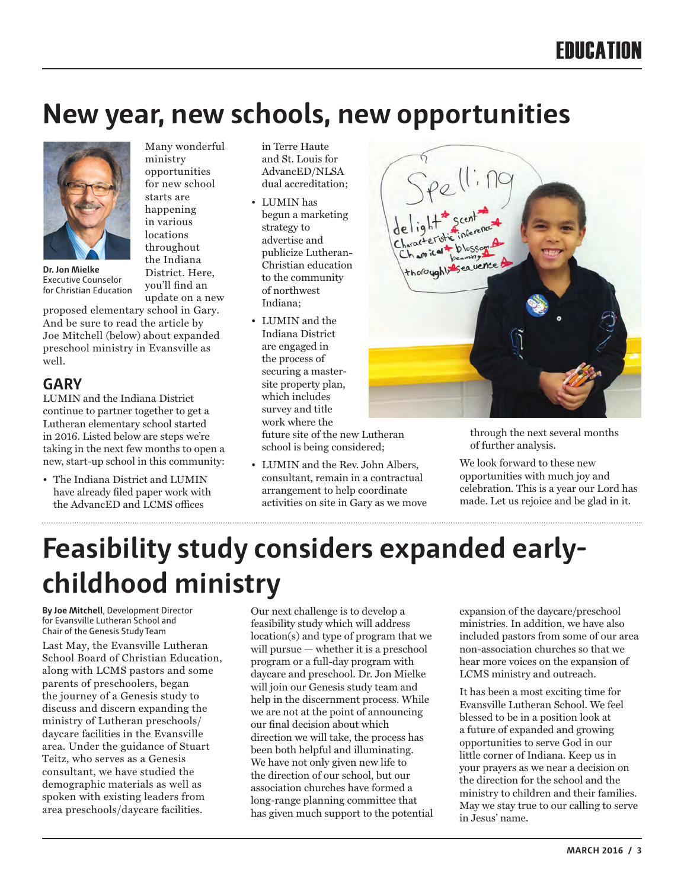# **New year, new schools, new opportunities**



**Dr. Jon Mielke**  Executive Counselor for Christian Education

ministry opportunities for new school starts are happening in various locations throughout the Indiana District. Here, you'll find an update on a new

Many wonderful

proposed elementary school in Gary. And be sure to read the article by Joe Mitchell (below) about expanded preschool ministry in Evansville as well.

#### **GARY**

LUMIN and the Indiana District continue to partner together to get a Lutheran elementary school started in 2016. Listed below are steps we're taking in the next few months to open a new, start-up school in this community:

• The Indiana District and LUMIN have already filed paper work with the AdvancED and LCMS offices

in Terre Haute and St. Louis for AdvancED/NLSA dual accreditation;

- LUMIN has begun a marketing strategy to advertise and publicize Lutheran-Christian education to the community of northwest Indiana;
- LUMIN and the Indiana District are engaged in the process of securing a mastersite property plan, which includes survey and title work where the

future site of the new Lutheran school is being considered;

• LUMIN and the Rev. John Albers, consultant, remain in a contractual arrangement to help coordinate activities on site in Gary as we move



through the next several months of further analysis.

We look forward to these new opportunities with much joy and celebration. This is a year our Lord has made. Let us rejoice and be glad in it.

# **Feasibility study considers expanded earlychildhood ministry**

**By Joe Mitchell**, Development Director for Evansville Lutheran School and Chair of the Genesis Study Team

Last May, the Evansville Lutheran School Board of Christian Education, along with LCMS pastors and some parents of preschoolers, began the journey of a Genesis study to discuss and discern expanding the ministry of Lutheran preschools/ daycare facilities in the Evansville area. Under the guidance of Stuart Teitz, who serves as a Genesis consultant, we have studied the demographic materials as well as spoken with existing leaders from area preschools/daycare facilities.

Our next challenge is to develop a feasibility study which will address location(s) and type of program that we will pursue — whether it is a preschool program or a full-day program with daycare and preschool. Dr. Jon Mielke will join our Genesis study team and help in the discernment process. While we are not at the point of announcing our final decision about which direction we will take, the process has been both helpful and illuminating. We have not only given new life to the direction of our school, but our association churches have formed a long-range planning committee that has given much support to the potential

expansion of the daycare/preschool ministries. In addition, we have also included pastors from some of our area non-association churches so that we hear more voices on the expansion of LCMS ministry and outreach.

It has been a most exciting time for Evansville Lutheran School. We feel blessed to be in a position look at a future of expanded and growing opportunities to serve God in our little corner of Indiana. Keep us in your prayers as we near a decision on the direction for the school and the ministry to children and their families. May we stay true to our calling to serve in Jesus' name.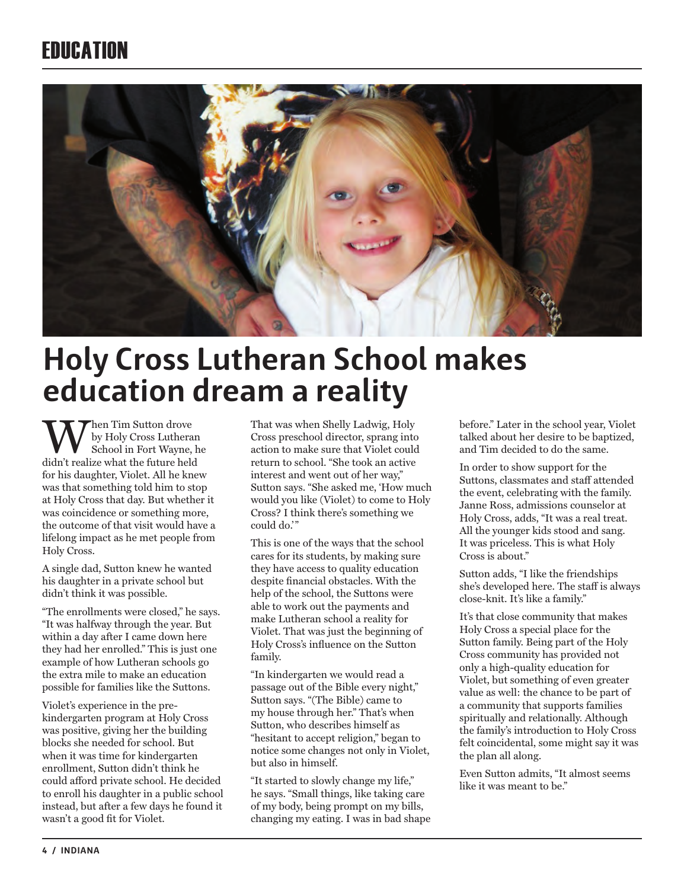## **FRIICATION**



# **Holy Cross Lutheran School makes education dream a reality**

Then Tim Sutton drove by Holy Cross Lutheran School in Fort Wayne, he didn't realize what the future held for his daughter, Violet. All he knew was that something told him to stop at Holy Cross that day. But whether it was coincidence or something more, the outcome of that visit would have a lifelong impact as he met people from Holy Cross.

A single dad, Sutton knew he wanted his daughter in a private school but didn't think it was possible.

"The enrollments were closed," he says. "It was halfway through the year. But within a day after I came down here they had her enrolled." This is just one example of how Lutheran schools go the extra mile to make an education possible for families like the Suttons.

Violet's experience in the prekindergarten program at Holy Cross was positive, giving her the building blocks she needed for school. But when it was time for kindergarten enrollment, Sutton didn't think he could afford private school. He decided to enroll his daughter in a public school instead, but after a few days he found it wasn't a good fit for Violet.

That was when Shelly Ladwig, Holy Cross preschool director, sprang into action to make sure that Violet could return to school. "She took an active interest and went out of her way," Sutton says. "She asked me, 'How much would you like (Violet) to come to Holy Cross? I think there's something we could do.'"

This is one of the ways that the school cares for its students, by making sure they have access to quality education despite financial obstacles. With the help of the school, the Suttons were able to work out the payments and make Lutheran school a reality for Violet. That was just the beginning of Holy Cross's influence on the Sutton family.

"In kindergarten we would read a passage out of the Bible every night," Sutton says. "(The Bible) came to my house through her." That's when Sutton, who describes himself as "hesitant to accept religion," began to notice some changes not only in Violet, but also in himself.

"It started to slowly change my life," he says. "Small things, like taking care of my body, being prompt on my bills, changing my eating. I was in bad shape before." Later in the school year, Violet talked about her desire to be baptized, and Tim decided to do the same.

In order to show support for the Suttons, classmates and staff attended the event, celebrating with the family. Janne Ross, admissions counselor at Holy Cross, adds, "It was a real treat. All the younger kids stood and sang. It was priceless. This is what Holy Cross is about."

Sutton adds, "I like the friendships she's developed here. The staff is always close-knit. It's like a family."

It's that close community that makes Holy Cross a special place for the Sutton family. Being part of the Holy Cross community has provided not only a high-quality education for Violet, but something of even greater value as well: the chance to be part of a community that supports families spiritually and relationally. Although the family's introduction to Holy Cross felt coincidental, some might say it was the plan all along.

Even Sutton admits, "It almost seems like it was meant to be."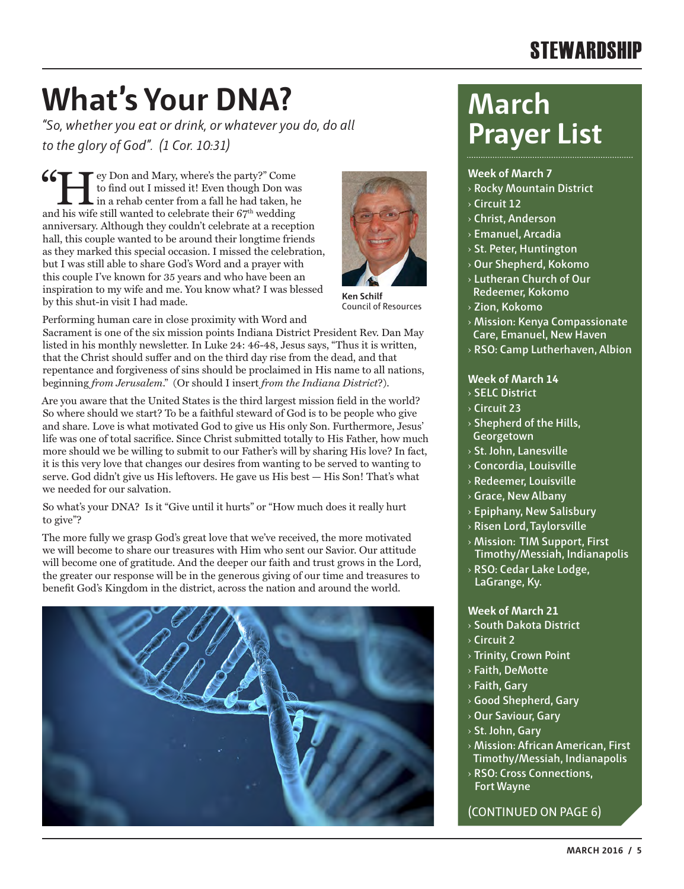### **STEWARDSHIP**

# **What's Your DNA?**

*"So, whether you eat or drink, or whatever you do, do all to the glory of God". (1 Cor. 10:31)*

Fey Don and Mary, where's the party?" Come to find out I missed it! Even though Don was in a rehab center from a fall he had taken, he  $\begin{array}{r} \begin{array}{|l} \hline \textbf{4} & \textbf{4} \\ \textbf{5} & \textbf{5} \\ \textbf{6} & \textbf{6} \end{array} \end{array}$  to find out I missed it! Even though Don was in a rehab center from a fall he had taken, he and his wife still wanted to celebrate their  $67^{\text{th}}$  w anniversary. Although they couldn't celebrate at a reception hall, this couple wanted to be around their longtime friends as they marked this special occasion. I missed the celebration, but I was still able to share God's Word and a prayer with this couple I've known for 35 years and who have been an inspiration to my wife and me. You know what? I was blessed by this shut-in visit I had made.



**Ken Schilf** Council of Resources

Performing human care in close proximity with Word and Sacrament is one of the six mission points Indiana District President Rev. Dan May listed in his monthly newsletter. In Luke 24: 46-48, Jesus says, "Thus it is written, that the Christ should suffer and on the third day rise from the dead, and that repentance and forgiveness of sins should be proclaimed in His name to all nations, beginning *from Jerusalem*." (Or should I insert *from the Indiana District*?).

Are you aware that the United States is the third largest mission field in the world? So where should we start? To be a faithful steward of God is to be people who give and share. Love is what motivated God to give us His only Son. Furthermore, Jesus' life was one of total sacrifice. Since Christ submitted totally to His Father, how much more should we be willing to submit to our Father's will by sharing His love? In fact, it is this very love that changes our desires from wanting to be served to wanting to serve. God didn't give us His leftovers. He gave us His best — His Son! That's what we needed for our salvation.

So what's your DNA? Is it "Give until it hurts" or "How much does it really hurt to give"?

The more fully we grasp God's great love that we've received, the more motivated we will become to share our treasures with Him who sent our Savior. Our attitude will become one of gratitude. And the deeper our faith and trust grows in the Lord, the greater our response will be in the generous giving of our time and treasures to benefit God's Kingdom in the district, across the nation and around the world.



# **March Prayer List**

#### **Week of March 7**

- › **Rocky Mountain District**
- › **Circuit 12**
- › **Christ, Anderson**
- › **Emanuel, Arcadia**
- › **St. Peter, Huntington**
- › **Our Shepherd, Kokomo**
- › **Lutheran Church of Our Redeemer, Kokomo**
- › **Zion, Kokomo**
- › **Mission: Kenya Compassionate Care, Emanuel, New Haven**
- › **RSO: Camp Lutherhaven, Albion**

#### **Week of March 14**

- › **SELC District**
- › **Circuit 23**
- › **Shepherd of the Hills, Georgetown**
- › **St. John, Lanesville**
- › **Concordia, Louisville**
- › **Redeemer, Louisville**
- › **Grace, New Albany**
- › **Epiphany, New Salisbury**
- › **Risen Lord, Taylorsville**
- › **Mission: TIM Support, First Timothy/Messiah, Indianapolis**
- › **RSO: Cedar Lake Lodge, LaGrange, Ky.**

#### **Week of March 21**

- › **South Dakota District**
- › **Circuit 2**
- › **Trinity, Crown Point**
- › **Faith, DeMotte**
- › **Faith, Gary**
- › **Good Shepherd, Gary**
- › **Our Saviour, Gary**
- › **St. John, Gary**
- › **Mission: African American, First Timothy/Messiah, Indianapolis**
- › **RSO: Cross Connections, Fort Wayne**

(CONTINUED ON PAGE 6)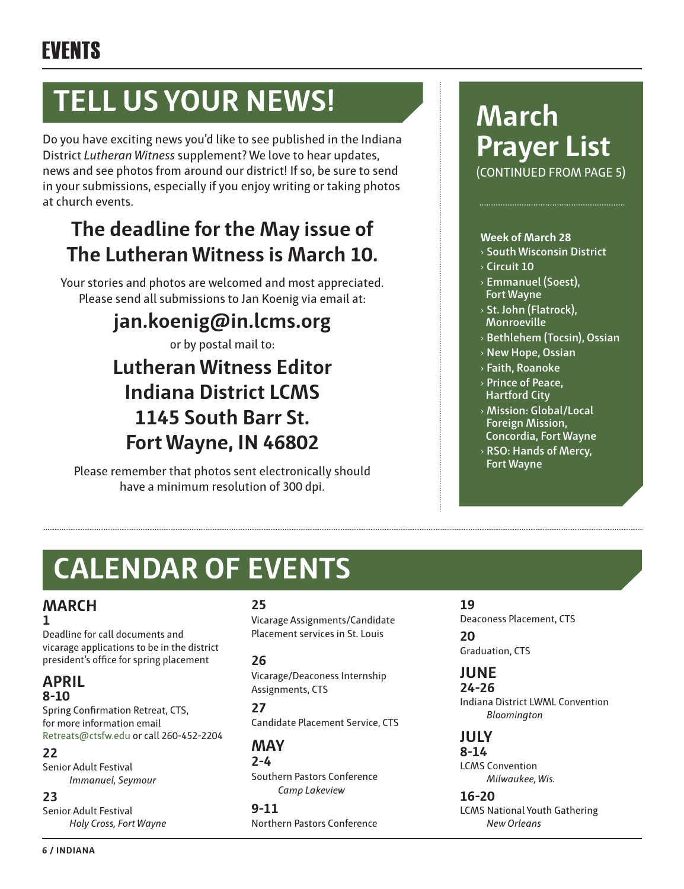# **TELL US YOUR NEWS!**

Do you have exciting news you'd like to see published in the Indiana District *Lutheran Witness* supplement? We love to hear updates, news and see photos from around our district! If so, be sure to send in your submissions, especially if you enjoy writing or taking photos at church events.

### **The deadline for the May issue of The Lutheran Witness is March 10.**

Your stories and photos are welcomed and most appreciated. Please send all submissions to Jan Koenig via email at:

### **jan.koenig@in.lcms.org**

or by postal mail to:

### **Lutheran Witness Editor Indiana District LCMS 1145 South Barr St. Fort Wayne, IN 46802**

Please remember that photos sent electronically should have a minimum resolution of 300 dpi.

### **March Prayer List** (CONTINUED FROM PAGE 5)

#### **Week of March 28**

- › **South Wisconsin District**
- › **Circuit 10**
- › **Emmanuel (Soest), Fort Wayne**
- › **St. John (Flatrock), Monroeville**
- › **Bethlehem (Tocsin), Ossian**
- › **New Hope, Ossian**
- › **Faith, Roanoke**
- › **Prince of Peace, Hartford City**
- › **Mission: Global/Local Foreign Mission, Concordia, Fort Wayne**
- › **RSO: Hands of Mercy, Fort Wayne**

# **CALENDAR OF EVENTS**

#### **MARCH 1**

Deadline for call documents and vicarage applications to be in the district president's office for spring placement

#### **APRIL 8-10**

Spring Confirmation Retreat, CTS, for more information email Retreats@ctsfw.edu or call 260-452-2204

#### **22**

Senior Adult Festival *Immanuel, Seymour*

#### **23**

Senior Adult Festival *Holy Cross, Fort Wayne* 

#### **25**

Vicarage Assignments/Candidate Placement services in St. Louis

#### **26**

Vicarage/Deaconess Internship Assignments, CTS

#### **27**

Candidate Placement Service, CTS

#### **MAY**

**2-4** Southern Pastors Conference *Camp Lakeview*

**9-11** Northern Pastors Conference

#### **19**

Deaconess Placement, CTS

**20** Graduation, CTS

#### **JUNE**

**24-26** Indiana District LWML Convention *Bloomington*

#### **JULY**

**8-14** LCMS Convention *Milwaukee, Wis.*

**16-20** LCMS National Youth Gathering *New Orleans*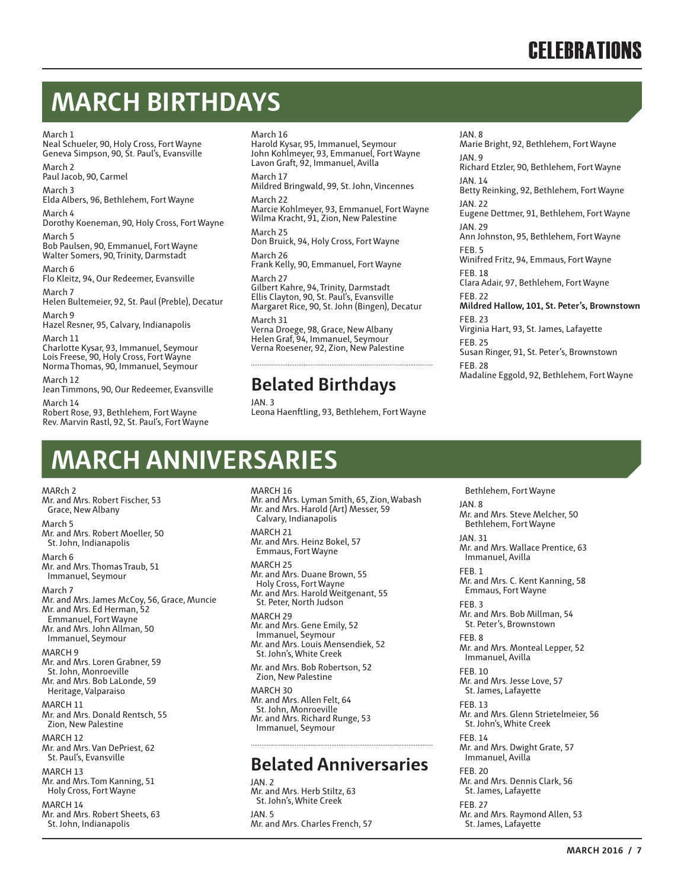# **MARCH BIRTHDAYS**

#### March 1

Neal Schueler, 90, Holy Cross, Fort Wayne Geneva Simpson, 90, St. Paul's, Evansville

March 2 Paul Jacob, 90, Carmel

March 3 Elda Albers, 96, Bethlehem, Fort Wayne

March 4 Dorothy Koeneman, 90, Holy Cross, Fort Wayne

March 5 Bob Paulsen, 90, Emmanuel, Fort Wayne Walter Somers, 90, Trinity, Darmstadt

March 6 Flo Kleitz, 94, Our Redeemer, Evansville

March 7 Helen Bultemeier, 92, St. Paul (Preble), Decatur March 9

Hazel Resner, 95, Calvary, Indianapolis

March 11 Charlotte Kysar, 93, Immanuel, Seymour Lois Freese, 90, Holy Cross, Fort Wayne Norma Thomas, 90, Immanuel, Seymour

March 12 Jean Timmons, 90, Our Redeemer, Evansville

March 14 Robert Rose, 93, Bethlehem, Fort Wayne Rev. Marvin Rastl, 92, St. Paul's, Fort Wayne

#### March 16

Harold Kysar, 95, Immanuel, Seymour John Kohlmeyer, 93, Emmanuel, Fort Wayne Lavon Graft, 92, Immanuel, Avilla

March 17

Mildred Bringwald, 99, St. John, Vincennes March 22

Marcie Kohlmeyer, 93, Emmanuel, Fort Wayne Wilma Kracht, 91, Zion, New Palestine

March 25 Don Bruick, 94, Holy Cross, Fort Wayne

March 26 Frank Kelly, 90, Emmanuel, Fort Wayne March 27

Gilbert Kahre, 94, Trinity, Darmstadt Ellis Clayton, 90, St. Paul's, Evansville Margaret Rice, 90, St. John (Bingen), Decatur

March 31 Verna Droege, 98, Grace, New Albany Helen Graf, 94, Immanuel, Seymour Verna Roesener, 92, Zion, New Palestine

#### **Belated Birthdays**

JAN. 3 Leona Haenftling, 93, Bethlehem, Fort Wayne JAN. 8 Marie Bright, 92, Bethlehem, Fort Wayne JAN. 9 Richard Etzler, 90, Bethlehem, Fort Wayne **JAN 14** Betty Reinking, 92, Bethlehem, Fort Wayne JAN. 22 Eugene Dettmer, 91, Bethlehem, Fort Wayne JAN. 29 Ann Johnston, 95, Bethlehem, Fort Wayne FEB. 5 Winifred Fritz, 94, Emmaus, Fort Wayne FEB. 18 Clara Adair, 97, Bethlehem, Fort Wayne FEB. 22 **Mildred Hallow, 101, St. Peter's, Brownstown** FEB. 23 Virginia Hart, 93, St. James, Lafayette FEB. 25 Susan Ringer, 91, St. Peter's, Brownstown FEB. 28 Madaline Eggold, 92, Bethlehem, Fort Wayne

# **MARCH ANNIVERSARIES**

MARch 2 Mr. and Mrs. Robert Fischer, 53 Grace, New Albany March 5 Mr. and Mrs. Robert Moeller, 50 St. John, Indianapolis March 6 Mr. and Mrs. Thomas Traub, 51 Immanuel, Seymour March 7 Mr. and Mrs. James McCoy, 56, Grace, Muncie Mr. and Mrs. Ed Herman, 52 Emmanuel, Fort Wayne Mr. and Mrs. John Allman, 50 Immanuel, Seymour MARCH 9 Mr. and Mrs. Loren Grabner, 59 St. John, Monroeville Mr. and Mrs. Bob LaLonde, 59 Heritage, Valparaiso MARCH 11 Mr. and Mrs. Donald Rentsch, 55 Zion, New Palestine MARCH 12 Mr. and Mrs. Van DePriest, 62 St. Paul's, Evansville MARCH 13 Mr. and Mrs. Tom Kanning, 51 Holy Cross, Fort Wayne MARCH 14 Mr. and Mrs. Robert Sheets, 63 St. John, Indianapolis

MARCH 16 Mr. and Mrs. Lyman Smith, 65, Zion, Wabash Mr. and Mrs. Harold (Art) Messer, 59 Calvary, Indianapolis MARCH 21 Mr. and Mrs. Heinz Bokel, 57 Emmaus, Fort Wayne MARCH 25 Mr. and Mrs. Duane Brown, 55 Holy Cross, Fort Wayne Mr. and Mrs. Harold Weitgenant, 55 St. Peter, North Judson MARCH 29 Mr. and Mrs. Gene Emily, 52 Immanuel, Seymour Mr. and Mrs. Louis Mensendiek, 52 St. John's, White Creek Mr. and Mrs. Bob Robertson, 52 Zion, New Palestine MARCH 30 Mr. and Mrs. Allen Felt, 64 St. John, Monroeville Mr. and Mrs. Richard Runge, 53 Immanuel, Seymour

#### **Belated Anniversaries**

JAN. 2 Mr. and Mrs. Herb Stiltz, 63 St. John's, White Creek JAN. 5 Mr. and Mrs. Charles French, 57

 Bethlehem, Fort Wayne JAN. 8 Mr. and Mrs. Steve Melcher, 50 Bethlehem, Fort Wayne JAN. 31 Mr. and Mrs. Wallace Prentice, 63 Immanuel, Avilla FEB. 1 Mr. and Mrs. C. Kent Kanning, 58 Emmaus, Fort Wayne FEB. 3 Mr. and Mrs. Bob Millman, 54 St. Peter's, Brownstown FEB. 8 Mr. and Mrs. Monteal Lepper, 52 Immanuel, Avilla FEB. 10 Mr. and Mrs. Jesse Love, 57 St. James, Lafayette FEB. 13 Mr. and Mrs. Glenn Strietelmeier, 56 St. John's, White Creek FEB. 14 Mr. and Mrs. Dwight Grate, 57 Immanuel, Avilla FEB. 20 Mr. and Mrs. Dennis Clark, 56 St. James, Lafayette FEB. 27 Mr. and Mrs. Raymond Allen, 53 St. James, Lafayette